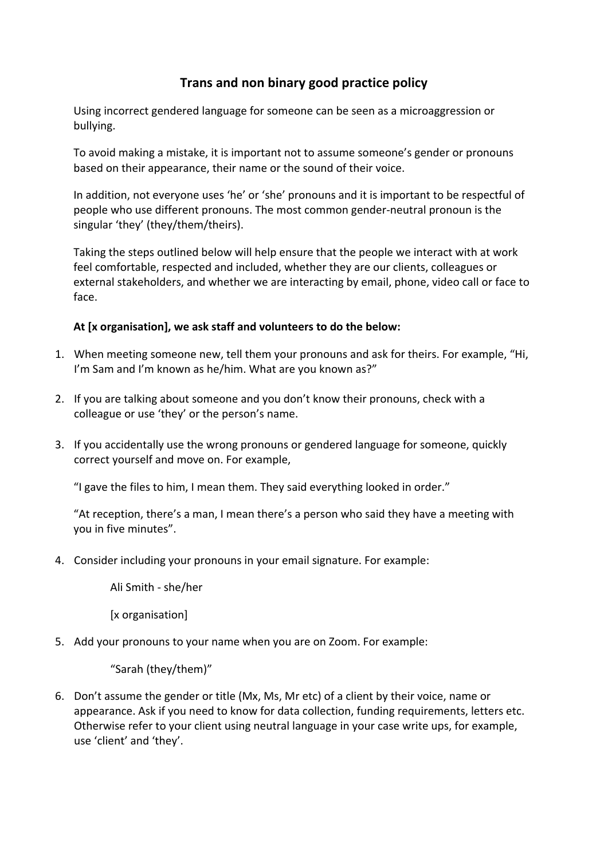## **Trans and non binary good practice policy**

Using incorrect gendered language for someone can be seen as a microaggression or bullying.

To avoid making a mistake, it is important not to assume someone's gender or pronouns based on their appearance, their name or the sound of their voice.

In addition, not everyone uses 'he' or 'she' pronouns and it is important to be respectful of people who use different pronouns. The most common gender-neutral pronoun is the singular 'they' (they/them/theirs).

Taking the steps outlined below will help ensure that the people we interact with at work feel comfortable, respected and included, whether they are our clients, colleagues or external stakeholders, and whether we are interacting by email, phone, video call or face to face.

## **At [x organisation], we ask staff and volunteers to do the below:**

- 1. When meeting someone new, tell them your pronouns and ask for theirs. For example, "Hi, I'm Sam and I'm known as he/him. What are you known as?"
- 2. If you are talking about someone and you don't know their pronouns, check with a colleague or use 'they' or the person's name.
- 3. If you accidentally use the wrong pronouns or gendered language for someone, quickly correct yourself and move on. For example,

"I gave the files to him, I mean them. They said everything looked in order."

"At reception, there's a man, I mean there's a person who said they have a meeting with you in five minutes".

4. Consider including your pronouns in your email signature. For example:

Ali Smith - she/her

[x organisation]

5. Add your pronouns to your name when you are on Zoom. For example:

"Sarah (they/them)"

6. Don't assume the gender or title (Mx, Ms, Mr etc) of a client by their voice, name or appearance. Ask if you need to know for data collection, funding requirements, letters etc. Otherwise refer to your client using neutral language in your case write ups, for example, use 'client' and 'they'.